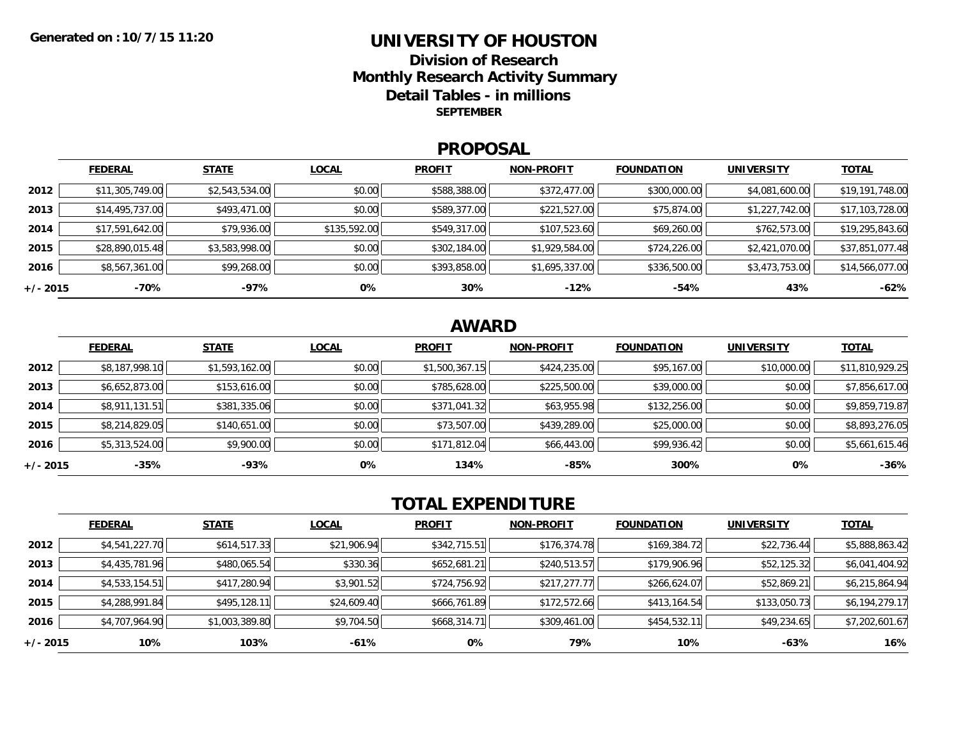### **UNIVERSITY OF HOUSTONDivision of ResearchMonthly Research Activity Summary Detail Tables - in millions SEPTEMBER**

#### **PROPOSAL**

|            | <b>FEDERAL</b>  | <b>STATE</b>   | <b>LOCAL</b> | <b>PROFIT</b> | <b>NON-PROFIT</b> | <b>FOUNDATION</b> | <b>UNIVERSITY</b> | <u>TOTAL</u>    |
|------------|-----------------|----------------|--------------|---------------|-------------------|-------------------|-------------------|-----------------|
| 2012       | \$11,305,749.00 | \$2,543,534.00 | \$0.00       | \$588,388.00  | \$372,477.00      | \$300,000.00      | \$4,081,600.00    | \$19,191,748.00 |
| 2013       | \$14,495,737.00 | \$493,471.00   | \$0.00       | \$589,377.00  | \$221,527.00      | \$75,874.00       | \$1,227,742.00    | \$17,103,728.00 |
| 2014       | \$17,591,642.00 | \$79,936.00    | \$135,592.00 | \$549,317.00  | \$107,523.60      | \$69,260.00       | \$762,573.00      | \$19,295,843.60 |
| 2015       | \$28,890,015.48 | \$3,583,998.00 | \$0.00       | \$302,184.00  | \$1,929,584.00    | \$724,226.00      | \$2,421,070.00    | \$37,851,077.48 |
| 2016       | \$8,567,361.00  | \$99,268.00    | \$0.00       | \$393,858.00  | \$1,695,337.00    | \$336,500.00      | \$3,473,753.00    | \$14,566,077.00 |
| $+/- 2015$ | -70%            | -97%           | 0%           | 30%           | $-12%$            | $-54%$            | 43%               | $-62%$          |

## **AWARD**

|          | <b>FEDERAL</b> | <b>STATE</b>   | <b>LOCAL</b> | <b>PROFIT</b>  | <b>NON-PROFIT</b> | <b>FOUNDATION</b> | <b>UNIVERSITY</b> | <b>TOTAL</b>    |
|----------|----------------|----------------|--------------|----------------|-------------------|-------------------|-------------------|-----------------|
| 2012     | \$8,187,998.10 | \$1,593,162.00 | \$0.00       | \$1,500,367.15 | \$424,235.00      | \$95,167.00       | \$10,000.00       | \$11,810,929.25 |
| 2013     | \$6,652,873.00 | \$153,616.00   | \$0.00       | \$785,628.00   | \$225,500.00      | \$39,000.00       | \$0.00            | \$7,856,617.00  |
| 2014     | \$8,911,131.51 | \$381,335.06   | \$0.00       | \$371,041.32   | \$63,955.98       | \$132,256.00      | \$0.00            | \$9,859,719.87  |
| 2015     | \$8,214,829.05 | \$140,651.00   | \$0.00       | \$73,507.00    | \$439,289.00      | \$25,000.00       | \$0.00            | \$8,893,276.05  |
| 2016     | \$5,313,524.00 | \$9,900.00     | \$0.00       | \$171,812.04   | \$66,443.00       | \$99,936.42       | \$0.00            | \$5,661,615.46  |
| +/- 2015 | $-35%$         | $-93%$         | 0%           | 134%           | -85%              | 300%              | 0%                | $-36%$          |

# **TOTAL EXPENDITURE**

|          | <b>FEDERAL</b> | <b>STATE</b>   | <b>LOCAL</b> | <b>PROFIT</b> | <b>NON-PROFIT</b> | <b>FOUNDATION</b> | <b>UNIVERSITY</b> | <b>TOTAL</b>   |
|----------|----------------|----------------|--------------|---------------|-------------------|-------------------|-------------------|----------------|
| 2012     | \$4,541,227.70 | \$614,517.33   | \$21,906.94  | \$342,715.51  | \$176,374.78      | \$169,384.72      | \$22,736.44       | \$5,888,863.42 |
| 2013     | \$4,435,781.96 | \$480,065.54   | \$330.36     | \$652,681.21  | \$240,513.57      | \$179,906.96      | \$52,125.32       | \$6,041,404.92 |
| 2014     | \$4,533,154.51 | \$417,280.94   | \$3,901.52   | \$724,756.92  | \$217,277.77      | \$266,624.07      | \$52,869.21       | \$6,215,864.94 |
| 2015     | \$4,288,991.84 | \$495,128.11   | \$24,609.40  | \$666,761.89  | \$172,572.66      | \$413,164.54      | \$133,050.73      | \$6,194,279.17 |
| 2016     | \$4,707,964.90 | \$1,003,389.80 | \$9,704.50   | \$668,314.71  | \$309,461.00      | \$454,532.11      | \$49,234.65       | \$7,202,601.67 |
| +/- 2015 | 10%            | 103%           | -61%         | 0%            | 79%               | 10%               | -63%              | 16%            |